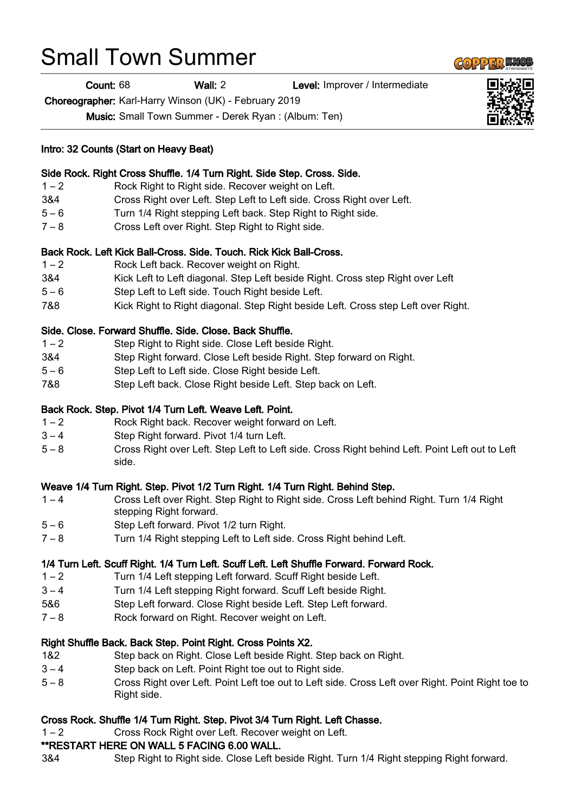# Small Town Summer

Count: 68 Wall: 2 Level: Improver / Intermediate

Choreographer: Karl-Harry Winson (UK) - February 2019

Music: Small Town Summer - Derek Ryan : (Album: Ten)

## Intro: 32 Counts (Start on Heavy Beat)

#### Side Rock. Right Cross Shuffle. 1/4 Turn Right. Side Step. Cross. Side.

- 1 2 Rock Right to Right side. Recover weight on Left.
- 3&4 Cross Right over Left. Step Left to Left side. Cross Right over Left.
- 5 6 Turn 1/4 Right stepping Left back. Step Right to Right side.
- 7 8 Cross Left over Right. Step Right to Right side.

# Back Rock. Left Kick Ball-Cross. Side. Touch. Rick Kick Ball-Cross.

- 1 2 Rock Left back. Recover weight on Right.
- 3&4 Kick Left to Left diagonal. Step Left beside Right. Cross step Right over Left
- 5 6 Step Left to Left side. Touch Right beside Left.
- 7&8 Kick Right to Right diagonal. Step Right beside Left. Cross step Left over Right.

## Side. Close. Forward Shuffle. Side. Close. Back Shuffle.

- 1 2 Step Right to Right side. Close Left beside Right.
- 3&4 Step Right forward. Close Left beside Right. Step forward on Right.
- 5 6 Step Left to Left side. Close Right beside Left.
- 7&8 Step Left back. Close Right beside Left. Step back on Left.

# Back Rock. Step. Pivot 1/4 Turn Left. Weave Left. Point.

- 1 2 Rock Right back. Recover weight forward on Left.
- 3 4 Step Right forward. Pivot 1/4 turn Left.
- 5 8 Cross Right over Left. Step Left to Left side. Cross Right behind Left. Point Left out to Left side.

# Weave 1/4 Turn Right. Step. Pivot 1/2 Turn Right. 1/4 Turn Right. Behind Step.

- 1 4 Cross Left over Right. Step Right to Right side. Cross Left behind Right. Turn 1/4 Right stepping Right forward.
- 5 6 Step Left forward. Pivot 1/2 turn Right.
- 7 8 Turn 1/4 Right stepping Left to Left side. Cross Right behind Left.

## 1/4 Turn Left. Scuff Right. 1/4 Turn Left. Scuff Left. Left Shuffle Forward. Forward Rock.

- 1 2 Turn 1/4 Left stepping Left forward. Scuff Right beside Left.
- 3 4 Turn 1/4 Left stepping Right forward. Scuff Left beside Right.
- 5&6 Step Left forward. Close Right beside Left. Step Left forward.
- 7 8 Rock forward on Right. Recover weight on Left.

#### Right Shuffle Back. Back Step. Point Right. Cross Points X2.

- 1&2 Step back on Right. Close Left beside Right. Step back on Right.
- 3 4 Step back on Left. Point Right toe out to Right side.
- 5 8 Cross Right over Left. Point Left toe out to Left side. Cross Left over Right. Point Right toe to Right side.

# Cross Rock. Shuffle 1/4 Turn Right. Step. Pivot 3/4 Turn Right. Left Chasse.

1 – 2 Cross Rock Right over Left. Recover weight on Left.

#### \*\*RESTART HERE ON WALL 5 FACING 6.00 WALL.

3&4 Step Right to Right side. Close Left beside Right. Turn 1/4 Right stepping Right forward.